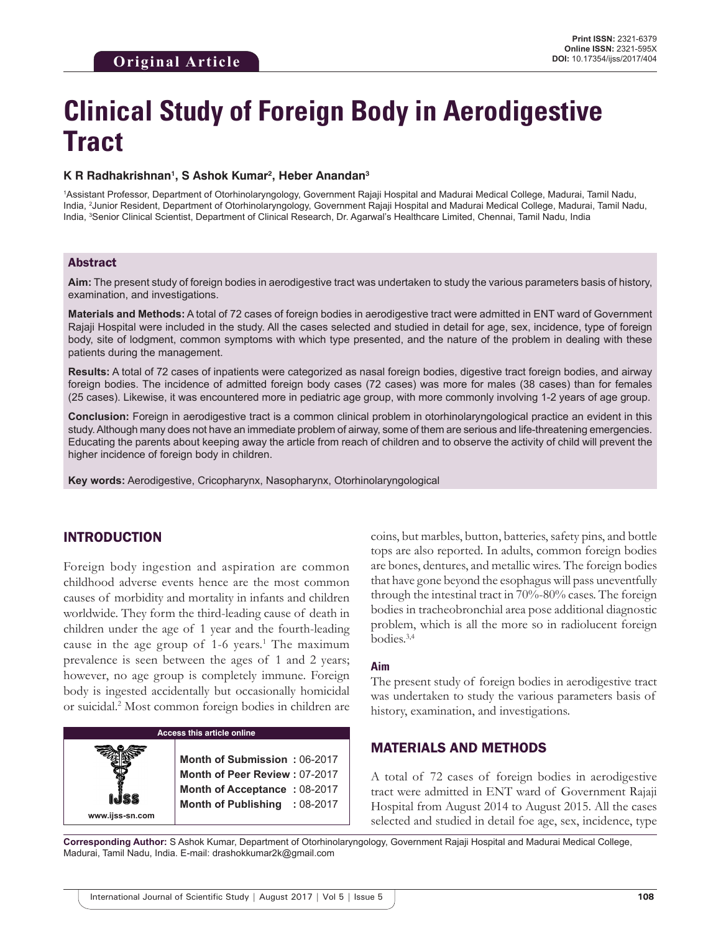# **Clinical Study of Foreign Body in Aerodigestive Tract**

#### **K R Radhakrishnan1 , S Ashok Kumar2 , Heber Anandan3**

1 Assistant Professor, Department of Otorhinolaryngology, Government Rajaji Hospital and Madurai Medical College, Madurai, Tamil Nadu, India, 2 Junior Resident, Department of Otorhinolaryngology, Government Rajaji Hospital and Madurai Medical College, Madurai, Tamil Nadu, India, <sup>3</sup>Senior Clinical Scientist, Department of Clinical Research, Dr. Agarwal's Healthcare Limited, Chennai, Tamil Nadu, India

### Abstract

**Aim:** The present study of foreign bodies in aerodigestive tract was undertaken to study the various parameters basis of history, examination, and investigations.

**Materials and Methods:** A total of 72 cases of foreign bodies in aerodigestive tract were admitted in ENT ward of Government Rajaji Hospital were included in the study. All the cases selected and studied in detail for age, sex, incidence, type of foreign body, site of lodgment, common symptoms with which type presented, and the nature of the problem in dealing with these patients during the management.

**Results:** A total of 72 cases of inpatients were categorized as nasal foreign bodies, digestive tract foreign bodies, and airway foreign bodies. The incidence of admitted foreign body cases (72 cases) was more for males (38 cases) than for females (25 cases). Likewise, it was encountered more in pediatric age group, with more commonly involving 1-2 years of age group.

**Conclusion:** Foreign in aerodigestive tract is a common clinical problem in otorhinolaryngological practice an evident in this study. Although many does not have an immediate problem of airway, some of them are serious and life-threatening emergencies. Educating the parents about keeping away the article from reach of children and to observe the activity of child will prevent the higher incidence of foreign body in children.

**Key words:** Aerodigestive, Cricopharynx, Nasopharynx, Otorhinolaryngological

## INTRODUCTION

Foreign body ingestion and aspiration are common childhood adverse events hence are the most common causes of morbidity and mortality in infants and children worldwide. They form the third-leading cause of death in children under the age of 1 year and the fourth-leading cause in the age group of 1-6 years.<sup>1</sup> The maximum prevalence is seen between the ages of 1 and 2 years; however, no age group is completely immune. Foreign body is ingested accidentally but occasionally homicidal or suicidal.2 Most common foreign bodies in children are



coins, but marbles, button, batteries, safety pins, and bottle tops are also reported. In adults, common foreign bodies are bones, dentures, and metallic wires. The foreign bodies that have gone beyond the esophagus will pass uneventfully through the intestinal tract in 70%-80% cases. The foreign bodies in tracheobronchial area pose additional diagnostic problem, which is all the more so in radiolucent foreign bodies.3,4

#### **Aim**

The present study of foreign bodies in aerodigestive tract was undertaken to study the various parameters basis of history, examination, and investigations.

## MATERIALS AND METHODS

A total of 72 cases of foreign bodies in aerodigestive tract were admitted in ENT ward of Government Rajaji Hospital from August 2014 to August 2015. All the cases selected and studied in detail foe age, sex, incidence, type

**Corresponding Author:** S Ashok Kumar, Department of Otorhinolaryngology, Government Rajaji Hospital and Madurai Medical College, Madurai, Tamil Nadu, India. E-mail: drashokkumar2k@gmail.com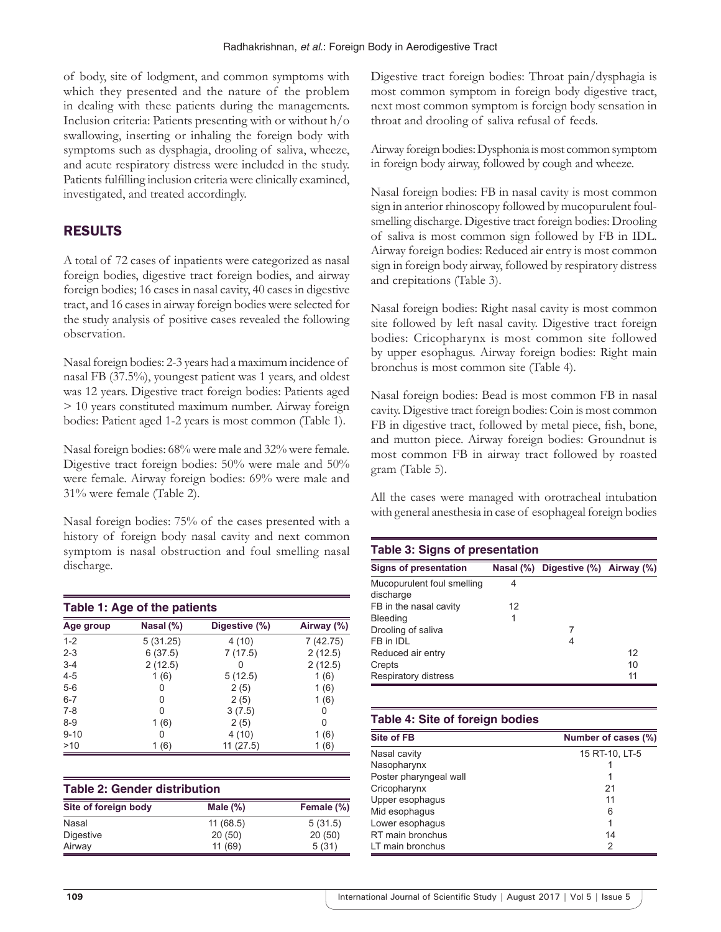of body, site of lodgment, and common symptoms with which they presented and the nature of the problem in dealing with these patients during the managements. Inclusion criteria: Patients presenting with or without h/o swallowing, inserting or inhaling the foreign body with symptoms such as dysphagia, drooling of saliva, wheeze, and acute respiratory distress were included in the study. Patients fulfilling inclusion criteria were clinically examined, investigated, and treated accordingly.

## RESULTS

A total of 72 cases of inpatients were categorized as nasal foreign bodies, digestive tract foreign bodies, and airway foreign bodies; 16 cases in nasal cavity, 40 cases in digestive tract, and 16 cases in airway foreign bodies were selected for the study analysis of positive cases revealed the following observation.

Nasal foreign bodies: 2-3 years had a maximum incidence of nasal FB (37.5%), youngest patient was 1 years, and oldest was 12 years. Digestive tract foreign bodies: Patients aged > 10 years constituted maximum number. Airway foreign bodies: Patient aged 1-2 years is most common (Table 1).

Nasal foreign bodies: 68% were male and 32% were female. Digestive tract foreign bodies: 50% were male and 50% were female. Airway foreign bodies: 69% were male and 31% were female (Table 2).

Nasal foreign bodies: 75% of the cases presented with a history of foreign body nasal cavity and next common symptom is nasal obstruction and foul smelling nasal discharge.

| Table 1: Age of the patients |           |               |            |
|------------------------------|-----------|---------------|------------|
| Age group                    | Nasal (%) | Digestive (%) | Airway (%) |
| $1 - 2$                      | 5(31.25)  | 4(10)         | 7 (42.75)  |
| $2 - 3$                      | 6(37.5)   | 7(17.5)       | 2(12.5)    |
| $3 - 4$                      | 2(12.5)   | 0             | 2(12.5)    |
| $4 - 5$                      | 1(6)      | 5(12.5)       | 1(6)       |
| $5-6$                        | 0         | 2(5)          | 1(6)       |
| $6 - 7$                      | 0         | 2(5)          | 1(6)       |
| $7 - 8$                      | U         | 3(7.5)        | 0          |
| $8-9$                        | 1(6)      | 2(5)          | 0          |
| $9 - 10$                     | 0         | 4 (10)        | 1(6)       |
| >10                          | 1(6)      | 11(27.5)      | 1(6)       |

| Site of foreign body | Male $(\%)$ | Female (%) |
|----------------------|-------------|------------|
| Nasal                | 11(68.5)    | 5(31.5)    |
| Digestive            | 20(50)      | 20(50)     |
| Airway               | 11(69)      | 5(31)      |

Digestive tract foreign bodies: Throat pain/dysphagia is most common symptom in foreign body digestive tract, next most common symptom is foreign body sensation in throat and drooling of saliva refusal of feeds.

Airway foreign bodies: Dysphonia is most common symptom in foreign body airway, followed by cough and wheeze.

Nasal foreign bodies: FB in nasal cavity is most common sign in anterior rhinoscopy followed by mucopurulent foulsmelling discharge. Digestive tract foreign bodies: Drooling of saliva is most common sign followed by FB in IDL. Airway foreign bodies: Reduced air entry is most common sign in foreign body airway, followed by respiratory distress and crepitations (Table 3).

Nasal foreign bodies: Right nasal cavity is most common site followed by left nasal cavity. Digestive tract foreign bodies: Cricopharynx is most common site followed by upper esophagus. Airway foreign bodies: Right main bronchus is most common site (Table 4).

Nasal foreign bodies: Bead is most common FB in nasal cavity. Digestive tract foreign bodies: Coin is most common FB in digestive tract, followed by metal piece, fish, bone, and mutton piece. Airway foreign bodies: Groundnut is most common FB in airway tract followed by roasted gram (Table 5).

All the cases were managed with orotracheal intubation with general anesthesia in case of esophageal foreign bodies

| <b>Table 3: Signs of presentation</b>   |    |                                    |    |  |
|-----------------------------------------|----|------------------------------------|----|--|
| <b>Signs of presentation</b>            |    | Nasal (%) Digestive (%) Airway (%) |    |  |
| Mucopurulent foul smelling<br>discharge | 4  |                                    |    |  |
| FB in the nasal cavity                  | 12 |                                    |    |  |
| Bleeding                                |    |                                    |    |  |
| Drooling of saliva                      |    | 7                                  |    |  |
| FB in IDL                               |    | 4                                  |    |  |
| Reduced air entry                       |    |                                    | 12 |  |
| Crepts                                  |    |                                    | 10 |  |
| Respiratory distress                    |    |                                    | 11 |  |

| Table 4: Site of foreign bodies |                     |  |
|---------------------------------|---------------------|--|
| <b>Site of FB</b>               | Number of cases (%) |  |
| Nasal cavity                    | 15 RT-10, LT-5      |  |
| Nasopharynx                     |                     |  |
| Poster pharyngeal wall          |                     |  |
| Cricopharynx                    | 21                  |  |
| Upper esophagus                 | 11                  |  |
| Mid esophagus                   | 6                   |  |
| Lower esophagus                 |                     |  |
| RT main bronchus                | 14                  |  |
| LT main bronchus                | 2                   |  |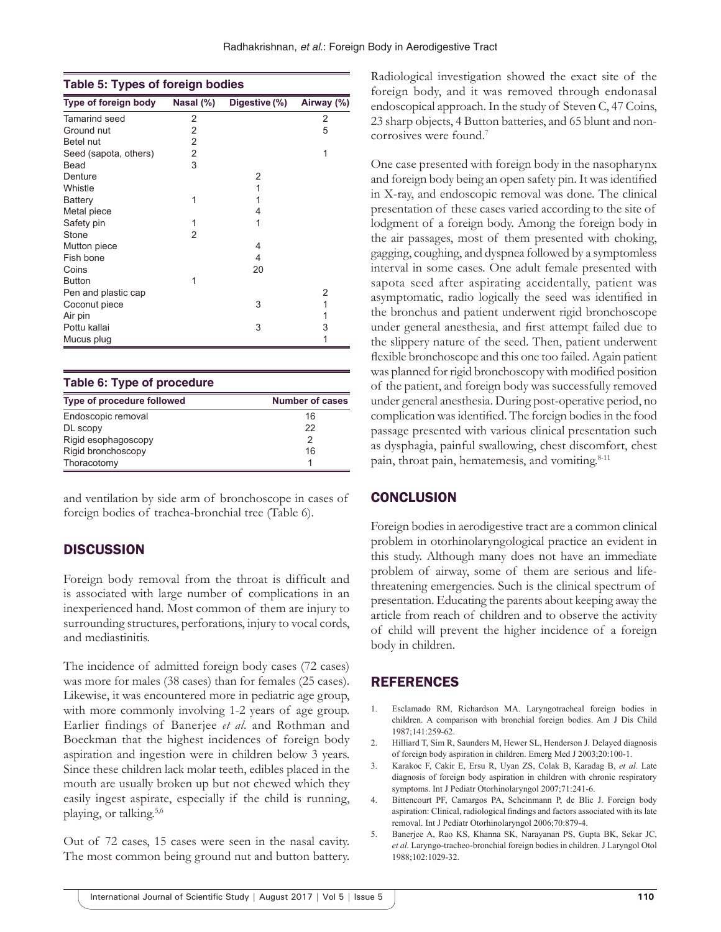| Table 5: Types of foreign bodies |                |               |            |
|----------------------------------|----------------|---------------|------------|
| Type of foreign body             | Nasal (%)      | Digestive (%) | Airway (%) |
| Tamarind seed                    | 2              |               | 2          |
| Ground nut                       | 2              |               | 5          |
| Betel nut                        | $\overline{2}$ |               |            |
| Seed (sapota, others)            | $\overline{2}$ |               | 1          |
| Bead                             | 3              |               |            |
| Denture                          |                | 2             |            |
| Whistle                          |                | 1             |            |
| <b>Battery</b>                   | 1              | 1             |            |
| Metal piece                      |                | 4             |            |
| Safety pin                       | 1              | 1             |            |
| Stone                            | 2              |               |            |
| Mutton piece                     |                | 4             |            |
| Fish bone                        |                | 4             |            |
| Coins                            |                | 20            |            |
| <b>Button</b>                    | 1              |               |            |
| Pen and plastic cap              |                |               | 2          |
| Coconut piece                    |                | 3             | 1          |
| Air pin                          |                |               | 1          |
| Pottu kallai                     |                | 3             | 3          |
| Mucus plug                       |                |               | 1          |
|                                  |                |               |            |

| Table 6: Type of procedure |                 |  |
|----------------------------|-----------------|--|
| Type of procedure followed | Number of cases |  |
| Endoscopic removal         | 16              |  |
| DL scopy                   | 22              |  |
| Rigid esophagoscopy        | 2               |  |
| Rigid bronchoscopy         | 16              |  |
| Thoracotomy                |                 |  |

and ventilation by side arm of bronchoscope in cases of foreign bodies of trachea-bronchial tree (Table 6).

## **DISCUSSION**

Foreign body removal from the throat is difficult and is associated with large number of complications in an inexperienced hand. Most common of them are injury to surrounding structures, perforations, injury to vocal cords, and mediastinitis.

The incidence of admitted foreign body cases (72 cases) was more for males (38 cases) than for females (25 cases). Likewise, it was encountered more in pediatric age group, with more commonly involving 1-2 years of age group. Earlier findings of Banerjee *et al.* and Rothman and Boeckman that the highest incidences of foreign body aspiration and ingestion were in children below 3 years. Since these children lack molar teeth, edibles placed in the mouth are usually broken up but not chewed which they easily ingest aspirate, especially if the child is running, playing, or talking.5,6

Out of 72 cases, 15 cases were seen in the nasal cavity. The most common being ground nut and button battery. Radiological investigation showed the exact site of the foreign body, and it was removed through endonasal endoscopical approach. In the study of Steven C, 47 Coins, 23 sharp objects, 4 Button batteries, and 65 blunt and noncorrosives were found.7

One case presented with foreign body in the nasopharynx and foreign body being an open safety pin. It was identified in X-ray, and endoscopic removal was done. The clinical presentation of these cases varied according to the site of lodgment of a foreign body. Among the foreign body in the air passages, most of them presented with choking, gagging, coughing, and dyspnea followed by a symptomless interval in some cases. One adult female presented with sapota seed after aspirating accidentally, patient was asymptomatic, radio logically the seed was identified in the bronchus and patient underwent rigid bronchoscope under general anesthesia, and first attempt failed due to the slippery nature of the seed. Then, patient underwent flexible bronchoscope and this one too failed. Again patient was planned for rigid bronchoscopy with modified position of the patient, and foreign body was successfully removed under general anesthesia. During post-operative period, no complication was identified. The foreign bodies in the food passage presented with various clinical presentation such as dysphagia, painful swallowing, chest discomfort, chest pain, throat pain, hematemesis, and vomiting.<sup>8-11</sup>

## **CONCLUSION**

Foreign bodies in aerodigestive tract are a common clinical problem in otorhinolaryngological practice an evident in this study. Although many does not have an immediate problem of airway, some of them are serious and lifethreatening emergencies. Such is the clinical spectrum of presentation. Educating the parents about keeping away the article from reach of children and to observe the activity of child will prevent the higher incidence of a foreign body in children.

# REFERENCES

- 1. Esclamado RM, Richardson MA. Laryngotracheal foreign bodies in children. A comparison with bronchial foreign bodies. Am J Dis Child 1987;141:259-62.
- 2. Hilliard T, Sim R, Saunders M, Hewer SL, Henderson J. Delayed diagnosis of foreign body aspiration in children. Emerg Med J 2003;20:100-1.
- 3. Karakoc F, Cakir E, Ersu R, Uyan ZS, Colak B, Karadag B, *et al.* Late diagnosis of foreign body aspiration in children with chronic respiratory symptoms. Int J Pediatr Otorhinolaryngol 2007;71:241-6.
- 4. Bittencourt PF, Camargos PA, Scheinmann P, de Blic J. Foreign body aspiration: Clinical, radiological findings and factors associated with its late removal. Int J Pediatr Otorhinolaryngol 2006;70:879-4.
- 5. Banerjee A, Rao KS, Khanna SK, Narayanan PS, Gupta BK, Sekar JC, *et al.* Laryngo-tracheo-bronchial foreign bodies in children. J Laryngol Otol 1988;102:1029-32.